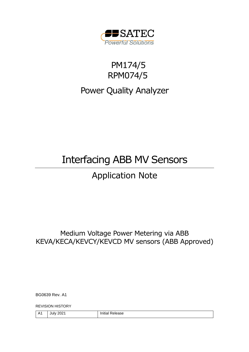

## PM174/5 RPM074/5

## Power Quality Analyzer

# Interfacing ABB MV Sensors

## Application Note

Medium Voltage Power Metering via ABB KEVA/KECA/KEVCY/KEVCD MV sensors (ABB Approved)

BG0639 Rev. A1

REVISION HISTORY

| Λ<br>. 1.1 | 2021<br>Julv i | $\cdots$<br>Release<br>.<br>ullid' |
|------------|----------------|------------------------------------|
|            |                |                                    |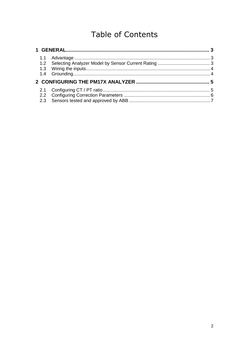## **Table of Contents**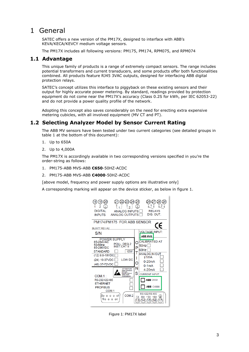### <span id="page-2-0"></span>1 General

SATEC offers a new version of the PM17X, designed to interface with ABB's KEVA/KECA/KEVCY medium voltage sensors.

The PM17X includes all following versions: PM175, PM174, RPM075, and RPM074

#### <span id="page-2-1"></span>**1.1 Advantage**

This unique family of products is a range of extremely compact sensors. The range includes potential transformers and current transducers, and some products offer both functionalities combined. All products feature RJ45 3VAC outputs, designed for interfacing ABB digital protection relays.

SATEC's concept utilizes this interface to piggyback on these existing sensors and their output for highly accurate power metering. By standard, readings provided by protection equipment do not come near the PM17X's accuracy (Class 0.2S for kWh, per IEC 62053-22) and do not provide a power quality profile of the network.

Adopting this concept also saves considerably on the need for erecting extra expensive metering cubicles, with all involved equipment (MV CT and PT).

#### <span id="page-2-2"></span>**1.2 Selecting Analyzer Model by Sensor Current Rating**

The ABB MV sensors have been tested under two current categories (see detailed groups in table 1 at the bottom of this document):

- 1. Up to 650A
- 2. Up to 4,000A

The PM17X is accordingly available in two corresponding versions specified in you're the order-string as follows:

- 1. PM175-ABB MVS-ABB **C650**-50HZ-ACDC
- 2. PM175-ABB MVS-ABB **C4000**-50HZ-ACDC

[above model, frequency and power supply options are illustrative only]

A corresponding marking will appear on the device sticker, as below in figure 1.

| 19<br><b>DIGITAL</b><br><b>ANALOG INPUTS</b><br><b>ANALOG OUTPUTS</b><br><b>INPUTS</b><br>PM174/PM175 FOR ABB SENSOR<br><b>BL0677 REV.A2</b>                                                                             | 2<br><b>RELAYS</b><br>DIG. OUT.<br>CE                                                                                               |
|--------------------------------------------------------------------------------------------------------------------------------------------------------------------------------------------------------------------------|-------------------------------------------------------------------------------------------------------------------------------------|
| S/N<br><b>POWER SUPPLY</b>                                                                                                                                                                                               | <b>VOLTAGE INPUT:</b><br><b>ABB MVS</b>                                                                                             |
| 85-264VAC<br>POLL. DEG.2<br>50/60Hz<br><b>INST.CAT II</b><br>85-290VDC<br>10W<br><b>STANDARD</b><br>(12) 9.6-19VDC<br><b>LOW DC</b><br>(24) 19-37VDC<br>(48) 37-72VDC                                                    | CALIBRATED AT<br>n<br>50Hz<br>P<br>60Hz<br><b>ANALOG IN/OUT</b><br>$+1mA$<br>0-20mA<br>O<br>$0-1mA$                                 |
| <b>ATTENTION</b><br>Static-Sensitive<br>Devices<br>Handle Only at<br>Static-Safe<br>$COM.1$ :<br>Workstations<br>RS-232/422/485<br><b>ETHERNET</b><br><b>PROFIBUS</b><br>COM.1<br>COM <sub>.2</sub><br>5000001<br>900006 | N<br>$4-20mA$<br>S<br><b>CURRENT INPUT:</b><br><b>ABB C650</b><br><b>ABB</b> C4000<br>RS-422/RS-485<br>$-RX$<br>$+RX$<br>-TX<br>+TX |

Figure 1: PM17X label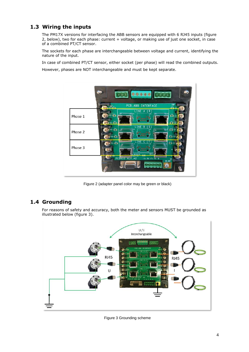#### <span id="page-3-0"></span>**1.3 Wiring the inputs**

The PM17X versions for interfacing the ABB sensors are equipped with 6 RJ45 inputs (figure 2, below), two for each phase: current + voltage, or making use of just one socket, in case of a combined PT/CT sensor.

The sockets for each phase are interchangeable between voltage and current, identifying the nature of the input.

In case of combined PT/CT sensor, either socket (per phase) will read the combined outputs.

However, phases are NOT interchangeable and must be kept separate.



Figure 2 (adapter panel color may be green or black)

#### <span id="page-3-1"></span>**1.4 Grounding**

For reasons of safety and accuracy, both the meter and sensors MUST be grounded as illustrated below (figure 3).



Figure 3 Grounding scheme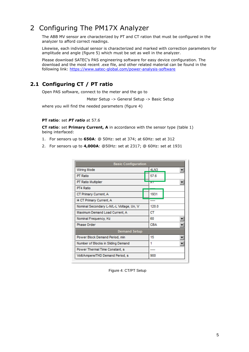### <span id="page-4-0"></span>2 Configuring The PM17X Analyzer

The ABB MV sensor are characterized by PT and CT ration that must be configured in the analyzer to afford correct readings.

Likewise, each individual sensor is characterized and marked with correction parameters for amplitude and angle (figure 5) which must be set as well in the analyzer.

Please download SATEC's PAS engineering software for easy device configuration. The download and the most recent .exe file, and other related material can be found in the following link: <https://www.satec-global.com/power-analysis-software>

### <span id="page-4-1"></span>**2.1 Configuring CT / PT ratio**

Open PAS software, connect to the meter and the go to

Meter Setup -> General Setup -> Basic Setup

where you will find the needed parameters (figure 4)

#### **PT ratio**: set *PT ratio* at 57.6

**CT ratio**: set **Primary Current, A** in accordance with the sensor type (table 1) being interfaced:

- 1. For sensors up to **650A**: @ 50Hz: set at 374; at 60Hz: set at 312
- 2. For sensors up to **4,000A**: @50Hz: set at 2317; @ 60Hz: set at 1931

| <b>Basic Configuration</b>               |            |  |
|------------------------------------------|------------|--|
| <b>Wiring Mode</b>                       | 4LN3       |  |
| PT Ratio                                 | 57.6       |  |
| PT Ratio Multiplier                      | ᇧ          |  |
| PT4 Ratio                                |            |  |
| CT Primary Current, A                    | 1931       |  |
| <b>14 CT Primary Current, A</b>          |            |  |
| Nominal Secondary L-N/L-L Voltage, Un, V | 120.0      |  |
| Maximum Demand Load Current, A           | CТ         |  |
| Nominal Frequency, Hz                    | 60         |  |
| Phase Order                              | <b>CBA</b> |  |
| <b>Demand Setup</b>                      |            |  |
| Power Block Demand Period, min           | 15         |  |
| Number of Blocks in Sliding Demand       | 1          |  |
| Power Thermal Time Constant, s           |            |  |
| Volt/Ampere/THD Demand Period, s         | 900        |  |

Figure 4: CT/PT Setup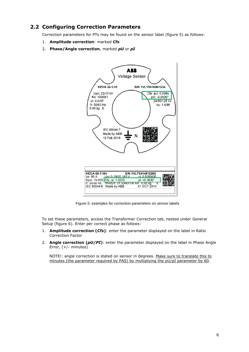#### <span id="page-5-0"></span>**2.2 Configuring Correction Parameters**

Correction parameters for PTs may be found on the sensor label (figure 5) as follows:

- 1. **Amplitude correction**: marked *Cfs*
- 2. **Phase/Angle correction**, marked *pU* or *pI*



Figure 5: examples for correction parameters on sensor labels

To set these parameters, access the Transformer Correction tab, nested under General Setup (figure 6). Enter per correct phase as follows:

- 1. **Amplitude correction (***Cfs***)**: enter the parameter displayed on the label in Ratio Correction Factor
- 2. **Angle correction (***pU/PI***)**: enter the parameter displayed on the label in Phase Angle Error, (+/- minutes)

NOTE!: angle correction is stated on sensor in degrees. Make sure to translate this to minutes (the parameter required by PAS) by multiplying the pU/pI parameter by 60.